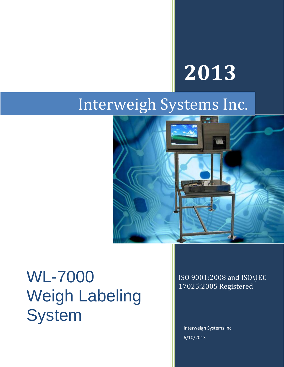# **2013**

### Interweigh Systems Inc.



## $WL-7000$  ISO 9001:2008 and ISO\IEC Weigh Labeling **System**

17025:2005 Registered

Interweigh Systems Inc 6/10/2013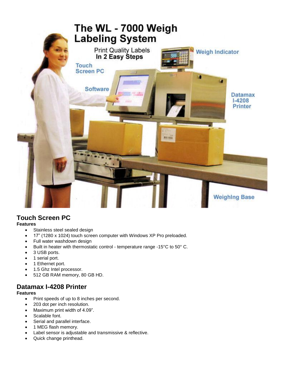

### **Touch Screen PC**

**Features**

- Stainless steel sealed design
- 17" (1280 x 1024) touch screen computer with Windows XP Pro preloaded.
- Full water washdown design
- Built in heater with thermostatic control temperature range -15°C to 50° C.
- 3 USB ports.
- 1 serial port.
- 1 Ethernet port.
- 1.5 Ghz Intel processor.
- 512 GB RAM memory, 80 GB HD.

### **Datamax I-4208 Printer**

#### **Features**

- Print speeds of up to 8 inches per second.
- 203 dot per inch resolution.
- Maximum print width of 4.09".
- Scalable font.
- Serial and parallel interface.
- 1 MEG flash memory.
- Label sensor is adjustable and transmissive & reflective.
- Quick change printhead.